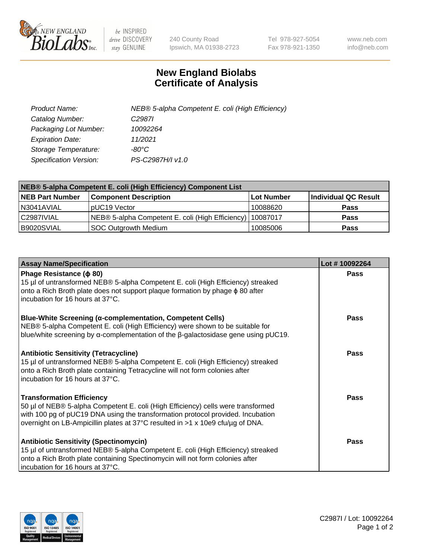

 $be$  INSPIRED drive DISCOVERY stay GENUINE

240 County Road Ipswich, MA 01938-2723 Tel 978-927-5054 Fax 978-921-1350 www.neb.com info@neb.com

## **New England Biolabs Certificate of Analysis**

| Product Name:           | NEB® 5-alpha Competent E. coli (High Efficiency) |
|-------------------------|--------------------------------------------------|
| Catalog Number:         | C <sub>2987</sub>                                |
| Packaging Lot Number:   | 10092264                                         |
| <b>Expiration Date:</b> | 11/2021                                          |
| Storage Temperature:    | -80°C.                                           |
| Specification Version:  | PS-C2987H/I v1.0                                 |

| NEB® 5-alpha Competent E. coli (High Efficiency) Component List |                                                  |                   |                      |  |
|-----------------------------------------------------------------|--------------------------------------------------|-------------------|----------------------|--|
| <b>NEB Part Number</b>                                          | <b>Component Description</b>                     | <b>Lot Number</b> | Individual QC Result |  |
| N3041AVIAL                                                      | pUC19 Vector                                     | 10088620          | <b>Pass</b>          |  |
| C2987IVIAL                                                      | NEB® 5-alpha Competent E. coli (High Efficiency) | 10087017          | <b>Pass</b>          |  |
| B9020SVIAL                                                      | <b>SOC Outgrowth Medium</b>                      | 10085006          | <b>Pass</b>          |  |

| <b>Assay Name/Specification</b>                                                                                                                                                                                                                                                           | Lot #10092264 |
|-------------------------------------------------------------------------------------------------------------------------------------------------------------------------------------------------------------------------------------------------------------------------------------------|---------------|
| Phage Resistance ( $\phi$ 80)<br>15 µl of untransformed NEB® 5-alpha Competent E. coli (High Efficiency) streaked<br>onto a Rich Broth plate does not support plaque formation by phage $\phi$ 80 after<br>incubation for 16 hours at 37°C.                                               | Pass          |
| <b>Blue-White Screening (α-complementation, Competent Cells)</b><br>NEB® 5-alpha Competent E. coli (High Efficiency) were shown to be suitable for<br>blue/white screening by a-complementation of the $\beta$ -galactosidase gene using pUC19.                                           | Pass          |
| <b>Antibiotic Sensitivity (Tetracycline)</b><br>15 µl of untransformed NEB® 5-alpha Competent E. coli (High Efficiency) streaked<br>onto a Rich Broth plate containing Tetracycline will not form colonies after<br>incubation for 16 hours at 37°C.                                      | Pass          |
| <b>Transformation Efficiency</b><br>50 µl of NEB® 5-alpha Competent E. coli (High Efficiency) cells were transformed<br>with 100 pg of pUC19 DNA using the transformation protocol provided. Incubation<br>overnight on LB-Ampicillin plates at 37°C resulted in >1 x 10e9 cfu/µg of DNA. | Pass          |
| <b>Antibiotic Sensitivity (Spectinomycin)</b><br>15 µl of untransformed NEB® 5-alpha Competent E. coli (High Efficiency) streaked<br>onto a Rich Broth plate containing Spectinomycin will not form colonies after<br>incubation for 16 hours at 37°C.                                    | Pass          |